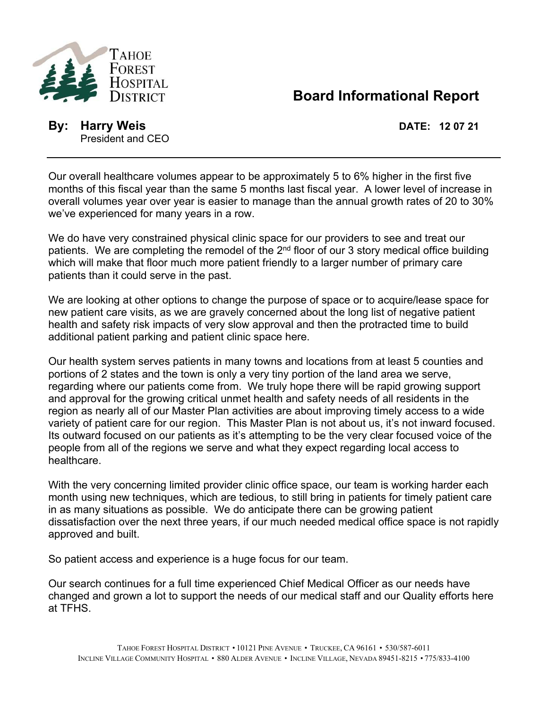

**DISTRICT Board Informational Report** 

**By: Harry Weis DATE: 12 07 21** President and CEO

Our overall healthcare volumes appear to be approximately 5 to 6% higher in the first five months of this fiscal year than the same 5 months last fiscal year. A lower level of increase in overall volumes year over year is easier to manage than the annual growth rates of 20 to 30% we've experienced for many years in a row.

We do have very constrained physical clinic space for our providers to see and treat our patients. We are completing the remodel of the  $2<sup>nd</sup>$  floor of our 3 story medical office building which will make that floor much more patient friendly to a larger number of primary care patients than it could serve in the past.

We are looking at other options to change the purpose of space or to acquire/lease space for new patient care visits, as we are gravely concerned about the long list of negative patient health and safety risk impacts of very slow approval and then the protracted time to build additional patient parking and patient clinic space here.

Our health system serves patients in many towns and locations from at least 5 counties and portions of 2 states and the town is only a very tiny portion of the land area we serve, regarding where our patients come from. We truly hope there will be rapid growing support and approval for the growing critical unmet health and safety needs of all residents in the region as nearly all of our Master Plan activities are about improving timely access to a wide variety of patient care for our region. This Master Plan is not about us, it's not inward focused. Its outward focused on our patients as it's attempting to be the very clear focused voice of the people from all of the regions we serve and what they expect regarding local access to healthcare.

With the very concerning limited provider clinic office space, our team is working harder each month using new techniques, which are tedious, to still bring in patients for timely patient care in as many situations as possible. We do anticipate there can be growing patient dissatisfaction over the next three years, if our much needed medical office space is not rapidly approved and built.

So patient access and experience is a huge focus for our team.

Our search continues for a full time experienced Chief Medical Officer as our needs have changed and grown a lot to support the needs of our medical staff and our Quality efforts here at TFHS.